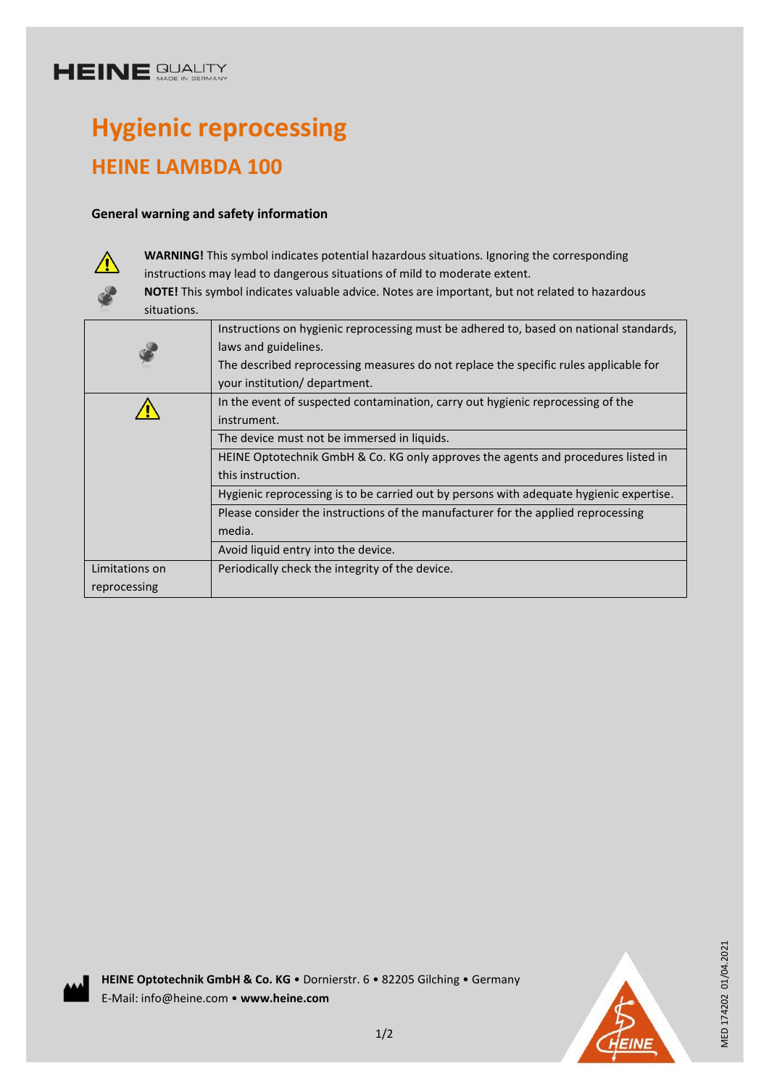## **HEINE SUALITY**

# **Hygienic reprocessing HEINE LAMBDA 100**

#### **General warning and safety information**



**WARNING!** This symbol indicates potential hazardous situations. Ignoring the corresponding instructions may lead to dangerous situations of mild to moderate extent.

**NOTE!** This symbol indicates valuable advice. Notes are important, but not related to hazardous situations.

|                | Instructions on hygienic reprocessing must be adhered to, based on national standards,  |
|----------------|-----------------------------------------------------------------------------------------|
|                | laws and guidelines.                                                                    |
|                | The described reprocessing measures do not replace the specific rules applicable for    |
|                | your institution/ department.                                                           |
|                | In the event of suspected contamination, carry out hygienic reprocessing of the         |
|                | instrument.                                                                             |
|                | The device must not be immersed in liquids.                                             |
|                | HEINE Optotechnik GmbH & Co. KG only approves the agents and procedures listed in       |
|                | this instruction.                                                                       |
|                | Hygienic reprocessing is to be carried out by persons with adequate hygienic expertise. |
|                | Please consider the instructions of the manufacturer for the applied reprocessing       |
|                | media.                                                                                  |
|                | Avoid liquid entry into the device.                                                     |
| Limitations on | Periodically check the integrity of the device.                                         |
| reprocessing   |                                                                                         |